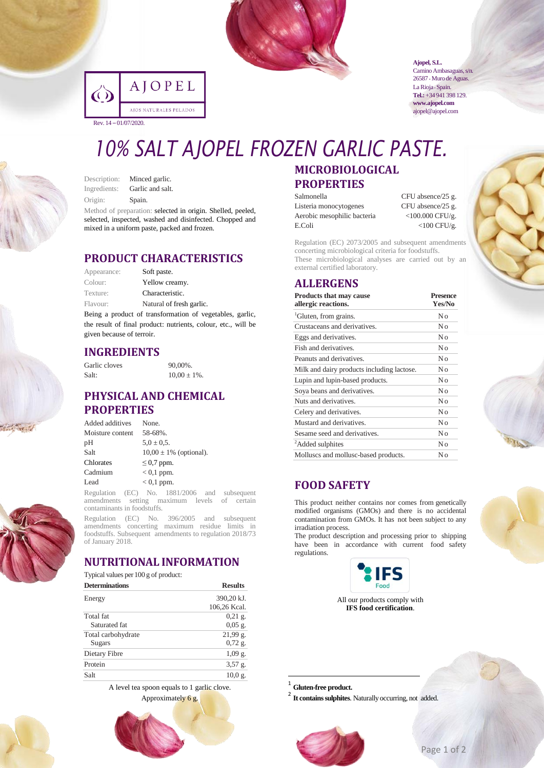

|                          | IOPEL                  |
|--------------------------|------------------------|
|                          | AJOS NATURALES PELADOS |
| Rev. $14 - 01/07/2020$ . |                        |

**Ajopel, S.L.** Camino Ambasaguas, s/n.

26587 • Muro de Aguas. La Rioja · Spain. **Tel.:**+34 941 398 129. **www.ajopel.com** ajopel@ajopel.com

# *10% SALT AJOPEL FROZEN GARLIC PASTE.*

| Description: | Minced garlic.                   |
|--------------|----------------------------------|
| Ingredients: | Garlic and salt.                 |
| Origin:      | Spain.                           |
|              | Mathed of numerical colonization |

Method of preparation: selected in origin. Shelled, peeled, selected, inspected, washed and disinfected. Chopped and mixed in a uniform paste, packed and frozen.

#### **PRODUCT CHARACTERISTICS**

| Appearance: | Soft paste.              |
|-------------|--------------------------|
| Colour:     | Yellow creamy.           |
| Texture:    | Characteristic.          |
| Flavour:    | Natural of fresh garlic. |

Being a product of transformation of vegetables, garlic, the result of final product: nutrients, colour, etc., will be given because of terroir.

#### **INGREDIENTS**

Garlic cloves 90,00%. Salt:  $10,00 + 1\%$ 

# **PHYSICAL AND CHEMICAL PROPERTIES**

| Added additives  | None.                       |
|------------------|-----------------------------|
| Moisture content | 58-68%.                     |
| pН               | $5.0 \pm 0.5$ .             |
| Salt             | $10,00 \pm 1\%$ (optional). |
| Chlorates        | $\leq$ 0.7 ppm.             |
| Cadmium          | $< 0.1$ ppm.                |
| Lead             | $< 0.1$ ppm.                |
|                  |                             |

Regulation (EC) No. 1881/2006 and subsequent amendments setting maximum levels of certain contaminants in foodstuffs.

Regulation (EC) No. 396/2005 and subsequent amendments concerting maximum residue limits in foodstuffs. Subsequent amendments to regulation 2018/73 of January 2018.

#### **NUTRITIONAL INFORMATION**

| Typical values per 100 g of product: |                |
|--------------------------------------|----------------|
| <b>Determinations</b>                | <b>Results</b> |

| Energy             | 390,20 kJ.   |
|--------------------|--------------|
|                    | 106,26 Kcal. |
| Total fat          | $0.21$ g.    |
| Saturated fat      | $0.05$ g.    |
| Total carbohydrate | 21,99 g.     |
| Sugars             | $0,72$ g.    |
| Dietary Fibre      | $1,09$ g.    |
| Protein            | $3,57$ g.    |
| Salt               | 10.0 g.      |

A level tea spoon equals to 1 garlic clove. Approximately 6 g.

# **MICROBIOLOGICAL PROPERTIES**

Listeria monocytogenes CFU absence/25 g.<br>Aerobic mesophilic bacteria <100.000 CFU/g. Aerobic mesophilic bacteria E.Coli <100 CFU/g.

Salmonella CFU absence/25 g.

Regulation (EC) 2073/2005 and subsequent amendments concerting microbiological criteria for foodstuffs. These microbiological analyses are carried out by an external certified laboratory.

#### **ALLERGENS**

| <b>Products that may cause</b><br>allergic reactions. | <b>Presence</b><br>Yes/No |  |
|-------------------------------------------------------|---------------------------|--|
| <sup>1</sup> Gluten, from grains.                     | No                        |  |
| Crustaceans and derivatives.                          | No                        |  |
| Eggs and derivatives.                                 | No                        |  |
| Fish and derivatives.                                 | No                        |  |
| Peanuts and derivatives.                              | Nο                        |  |
| Milk and dairy products including lactose.            | No                        |  |
| Lupin and lupin-based products.                       | No                        |  |
| Soya beans and derivatives.                           | No                        |  |
| Nuts and derivatives.                                 | Nο                        |  |
| Celery and derivatives.                               | No                        |  |
| Mustard and derivatives.                              | No                        |  |
| Sesame seed and derivatives.                          | No                        |  |
| <sup>2</sup> Added sulphites                          | Nο                        |  |
| Molluscs and mollusc-based products.                  | Nο                        |  |

# **FOOD SAFETY**

This product neither contains nor comes from genetically modified organisms (GMOs) and there is no accidental contamination from GMOs. It has not been subject to any irradiation process.

The product description and processing prior to shipping have been in accordance with current food safety regulations.



All our products comply with **IFS food certification**.

1 **Gluten-free product.**

1

<sup>2</sup> It contains sulphites. Naturally occurring, not added.